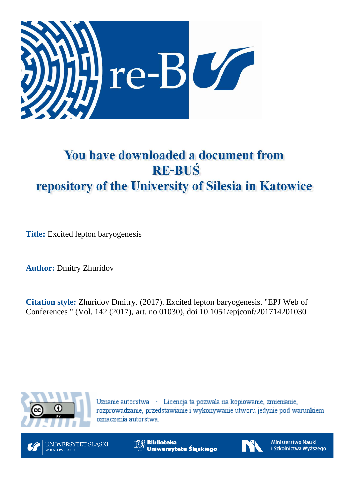

# You have downloaded a document from **RE-BUŚ** repository of the University of Silesia in Katowice

**Title:** Excited lepton baryogenesis

**Author:** Dmitry Zhuridov

**Citation style:** Zhuridov Dmitry. (2017). Excited lepton baryogenesis. "EPJ Web of Conferences " (Vol. 142 (2017), art. no 01030), doi 10.1051/epjconf/201714201030



Uznanie autorstwa - Licencja ta pozwala na kopiowanie, zmienianie, rozprowadzanie, przedstawianie i wykonywanie utworu jedynie pod warunkiem oznaczenia autorstwa.



**Biblioteka** Uniwersytetu Śląskiego



Ministerstwo Nauki i Szkolnictwa Wyższego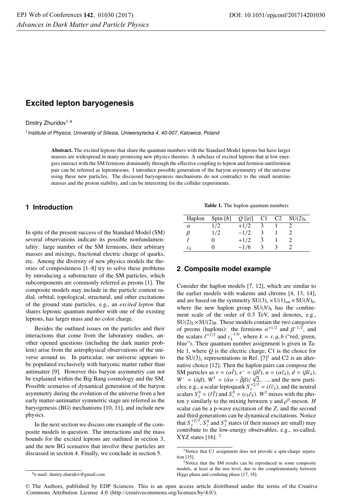# **Excited lepton baryogenesis**

Dmitry Zhuridov<sup>1,a</sup>

<sup>1</sup> Institute of Physics, University of Silesia, Uniwersytecka 4, 40-007, Katowice, Poland

Abstract. The excited leptons that share the quantum numbers with the Standard Model leptons but have larger masses are widespread in many promising new physics theories. A subclass of excited leptons that at low energies interact with the SM fermions dominantly through the effective coupling to lepton and fermion-antifermion pair can be referred as leptomesons. I introduce possible generation of the baryon asymmetry of the universe using these new particles. The discussed baryogenesis mechanisms do not contradict to the small neutrino masses and the proton stability, and can be interesting for the collider experiments.

# **1 Introduction**

In spite of the present success of the Standard Model (SM) several observations indicate its possible nonfundamentality: large number of the SM fermions, their arbitrary masses and mixings, fractional electric charge of quarks, etc. Among the diversity of new physics models the theories of compositeness [1–8] try to solve these problems by introducing a substructure of the SM particles, which subcomponents are commonly referred as preons [1]. The composite models may include in the particle content radial, orbital, topological, structural, and other excitations of the ground state particles, e.g., an *excited lepton* that shares leptonic quantum number with one of the existing leptons, has larger mass and no color charge.

Besides the outlined issues on the particles and their interactions that come from the laboratory studies, another opened questions (including the dark matter problem) arise from the astrophysical observations of the universe around us. In particular, our universe appears to be populated exclusively with baryonic matter rather than antimatter [9]. However this baryon asymmetry can not be explained within the Big Bang cosmology and the SM. Possible scenarios of dynamical generation of the baryon asymmetry during the evolution of the universe from a hot early matter-antimatter symmetric stage are referred as the baryogenesis (BG) mechanisms [10, 11], and include new physics.

In the next section we discuss one example of the composite models in question. The interactions and the mass bounds for the excited leptons are outlined in section 3, and the new BG scenarios that involve these particles are discussed in section 4. Finally, we conclude in section 5.

Table 1. The haplon quantum numbers

| Haplon   | Spin $[\hbar]$ | $Q$ [ $ e $ ] | C1                     | $C2 \quad SU(2)_h$ |
|----------|----------------|---------------|------------------------|--------------------|
| $\alpha$ | 1/2            | $+1/2$        |                        |                    |
| ß        | 1/2            | $-1/2$        |                        |                    |
|          |                | $+1/2$        | $\mathbf{\mathcal{R}}$ |                    |
| $c_k$    |                | $-1/6$        |                        |                    |

# **2 Composite model example**

Consider the haplon models [7, 12], which are similar to the earlier models with wakems and chroms [4, 13, 14], and are based on the symmetry  $SU(3)_c \times U(1)_{em} \times SU(N)_h$ , where the new haplon group  $SU(N)_h$  has the confinement scale of the order of 0.3 TeV, and denotes, e.g.,  $SU(2)_L \times SU(2)_R$ . These models contain the two categories of preons (haplons): the fermions  $\alpha^{+1/2}$  and  $\beta^{-1/2}$ , and the scalars  $\ell^{+1/2}$  and  $c_k^{-1/6}$ , where  $k = r, g, b$  ("red, green, blue"). Their quantum number assignment is given in Ta blue"). Their quantum number assignment is given in Table 1, where *Q* is the electric charge, C1 is the choice for the  $SU(3)_c$  representations in Ref. [7]<sup>1</sup> and C2 is an alternative choice [12]. Then the haplon pairs can compose the SM particles as  $v = (\alpha \bar{\ell}), e^- = (\beta \bar{\ell}), u = (\alpha \bar{\ell}_k), d = (\beta \bar{\ell}_k),$ <br>  $W^- = (\bar{\alpha} \beta)$ ,  $W^3 = (\bar{\alpha} \alpha - \bar{\beta} \beta)/\sqrt{2}$  and the new parti- $W^- = (\bar{\alpha}\beta)$ ,  $W^3 = (\bar{\alpha}\alpha - \bar{\beta}\beta)/\sqrt{2}, \dots$ , and the new parti-<br>cless e.g. a scalar leptoquark  $S^{+2/3} = (l\bar{z}_1)$  and the neutral cles, e.g., a scalar leptoquark  $S_{\ell}^{+2/3} = (\ell \bar{\epsilon}_k)$ , and the neutral<br>scalars  $S_{\ell}^{0} = (\ell \bar{\ell})$  and  $S_{\ell}^{0} = (c_k \bar{c}_k)$ .  $W^{3}$  mixes with the pho-<br>ton  $\gamma$  similarly to the mixing between  $\gamma$  and  $\varrho^{0}$ -meson. ton  $\gamma$  similarly to the mixing between  $\gamma$  and  $\rho^0$ -meson. *H* scalar can be a p-wave excitation of the *Z*, and the second and third generations can be dynamical excitations. Notice that  $S_{\ell}^{+2/3}$ ,  $S_{\ell}^{0}$  and  $S_{\ell}^{0}$  states (if their masses are small) may<br>contribute to the low-energy observables  $e \sigma$ , so-called contribute to the low-energy observables, e.g., so-called,  $XYZ$  states [16].  $<sup>2</sup>$ </sup>

© The Authors, published by EDP Sciences. This is an open access article distributed under the terms of the Creative Commons Attribution License 4.0 (http://creativecommons.org/licenses/by/4.0/).

<sup>1</sup>Notice that C1 assignment does not provide a spin-charge separation [15].

<sup>2</sup>Notice that the SM results can be reproduced in some composite models, at least at the tree level, due to the complementarity between Higgs phase and confining phase [17, 18].

ae-mail: dmitry.zhuridov@gmail.com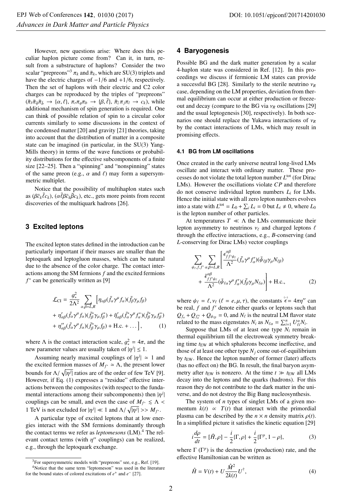However, new questions arise: Where does this peculiar haplon picture come from? Can it, in turn, result from a substructure of haplons? Consider the two scalar "prepreons"<sup>3</sup>  $\pi_k$  and  $\bar{\pi}_k$ , which are SU(3) triplets and have the electric charges of  $-1/6$  and  $+1/6$ , respectively. Then the set of haplons with their electric and C2 color charges can be reproduced by the triples of "prepreons"  $(\bar{\pi}_{\bar{r}}\bar{\pi}_{\bar{g}}\bar{\pi}_{\bar{b}} \rightarrow {\alpha, \ell}, \pi_{r}\pi_{g}\pi_{b} \rightarrow {\beta, \bar{\ell}}, \bar{\pi}_{\bar{i}}\pi_{\bar{j}}\pi_{l} \rightarrow c_{k}$ , while additional mechanism of spin generation is required. One additional mechanism of spin generation is required. One can think of possible relation of spin to a circular color currents similarly to some discussions in the context of the condensed matter [20] and gravity [21] theories, taking into account that the distribution of matter in a composite state can be imagined (in particular, in the SU(3) Yang-Mills theory) in terms of the wave functions or probability distributions for the effective subcomponents of a finite size [22–25]. Then a "spinning" and "nonspinning" states of the same preon (e.g.,  $\alpha$  and  $\ell$ ) may form a supersymmetric multiplet.

Notice that the possibility of multihaplon states such as  $(\beta \bar{c}_k \bar{\ell} c_k)$ ,  $(\alpha \bar{\ell} \beta \bar{c}_k \bar{\beta} c_k)$ , etc., gets more points from recent<br>discoveries of the multiquark hadrons [26] discoveries of the multiquark hadrons [26].

# **3 Excited leptons**

The excited lepton states defined in the introduction can be particularly important if their masses are smaller than the leptoquark and leptogluon masses, which can be natural due to the absence of the color charge. The contact interactions among the SM fermions *f* and the excited fermions *f*<sup>∗</sup> can be generically written as [9]

$$
\mathcal{L}_{CI} = \frac{g_*^2}{2\Lambda^2} \sum_{\alpha,\beta=L,R} \left[ \eta_{\alpha\beta} (\bar{f}_{\alpha}\gamma^{\mu} f_{\alpha}) (\bar{f}_{\beta}\gamma_{\mu} f_{\beta}) + \eta'_{\alpha\beta} (\bar{f}_{\alpha}\gamma^{\mu} f_{\alpha}) (\bar{f}_{\beta}^{*}\gamma_{\mu} f_{\beta}^{*}) + \tilde{\eta}'_{\alpha\beta} (\bar{f}_{\alpha}^{*}\gamma^{\mu} f_{\alpha}^{*})(\bar{f}_{\beta}^{*}\gamma_{\mu} f_{\beta}^{*}) + \eta''_{\alpha\beta} (\bar{f}_{\alpha}\gamma^{\mu} f_{\alpha}) (\bar{f}_{\beta}^{*}\gamma_{\mu} f_{\beta}) + \text{H.c.} + \dots \right], \tag{1}
$$

where  $\Lambda$  is the contact interaction scale,  $g_*^2 = 4\pi$ , and the new parameter values are usually taken of  $|n^j| < 1$ new parameter values are usually taken of  $|\eta^j| \leq 1$ .

Assuming nearly maximal couplings of  $|\eta^j| \approx 1$  and excited fermion masses of  $M_{\infty} \approx \Lambda$ , the present lower the excited fermion masses of  $M_{f^*} \simeq \Lambda$ , the present lower bounds for  $\Lambda/\sqrt{|\eta^j|}$  ratios are of the order of few TeV [9].<br>However, if Eq. (1) expresses a "residue" effective inter-However, if Eq. (1) expresses a "residue" effective interactions between the composites (with respect to the fundamental interactions among their subcomponents) then  $|\eta^j|$ | couplings can be small, and even the case of  $M_f \le \Lambda$ 1 TeV is not excluded for  $|\eta^j| \ll 1$  and  $\Lambda/\sqrt{|\eta^j|} >> M_{f^*}$ .

A particular type of excited leptons that at low energies interact with the SM fermions dominantly through the contact terms we refer as *leptomesons* (LM).4 The relevant contact terms (with  $\eta$ " couplings) can be realized, e.g., through the leptoquark exchange.

## **4 Baryogenesis**

Possible BG and the dark matter generation by a scalar 4-haplon state was considered in Ref. [12]. In this proceedings we discuss if fermionic LM states can provide a successful BG [28]. Similarly to the sterile neutrino <sup>ν</sup>*<sup>R</sup>* case, depending on the LM properties, deviation from thermal equilibrium can occur at either production or freezeout and decay (compare to the BG via <sup>ν</sup>*<sup>R</sup>* oscillations [29] and the usual leptogenesis [30], respectively). In both scenarios one should replace the Yukawa interactions of <sup>ν</sup>*<sup>R</sup>* by the contact interactions of LMs, which may result in promising effects.

#### **4.1 BG from LM oscillations**

Once created in the early universe neutral long-lived LMs oscillate and interact with ordinary matter. These processes do not violate the total lepton number  $L^{\text{tot}}$  (for Dirac LMs). However the oscillations violate *CP* and therefore do not conserve individual lepton numbers *Li* for LMs. Hence the initial state with all zero lepton numbers evolves into a state with  $L^{tot} = L_0 + \sum_i L_i = 0$  but  $L_i \neq 0$ , where  $L_0$ is the lepton number of other particles.

At temperatures  $T \ll \Lambda$  the LMs communicate their lepton asymmetry to neutrinos  $v_{\ell}$  and charged leptons  $\ell$ through the effective interactions, e.g., *B*-conserving (and *L*-conserving for Dirac LMs) vector couplings

$$
\sum_{\psi_{\ell},f,f'} \sum_{\alpha,\beta=L,R} \left[ \frac{\epsilon_{ff'\psi_{\ell}}^{\alpha\beta}}{\Lambda^2} (\bar{f}_{\alpha}\gamma^{\mu}f'_{\alpha})(\bar{\psi}_{\ell\beta}\gamma_{\mu}N_{\ell\beta}) + \frac{\tilde{\epsilon}_{ff'\psi_{\ell}}^{\alpha\beta}}{\Lambda^2} (\bar{\psi}_{\ell\alpha}\gamma^{\mu}f'_{\alpha})(\bar{f}_{\beta}\gamma_{\mu}N_{\ell\alpha}) + \text{H.c.}, \tag{2}
$$

where  $\psi_{\ell} = \ell, \nu_{\ell}$  ( $\ell = e, \mu, \tau$ ), the constants  $\hat{\epsilon} = 4\pi \eta''$  can<br>be real f and f' denote either quarks or leptons such that be real, *f* and *f'* denote either quarks or leptons such that  $Q_{fa} + Q_{f''c} + Q_{\psi_{\ell\beta}} = 0$ , and  $N_{\ell}$  is the neutral LM flavor state related to the mass eigenstates  $N_i$  as  $N_{\ell\alpha} = \sum_{i=1}^n U_{\ell i}^{\alpha} N_i$ .

*i* cut to the mass eigenstates  $N_i$  as  $N_{\ell\alpha} = \sum_{i=1}^{i} U_{\ell i} N_i$ .<br>Suppose that LMs of at least one type  $N_i$  remain in thermal equilibrium till the electroweak symmetry breaking time  $t_{EW}$  at which sphalerons become ineffective, and those of at least one other type  $N_j$  come out-of-equilibrium by  $t_{EW}$ . Hence the lepton number of former (later) affects (has no effect on) the BG. In result, the final baryon asymmetry after  $t_{EW}$  is nonzero. At the time  $t \gg t_{EW}$  all LMs decay into the leptons and the quarks (hadrons). For this reason they do not contribute to the dark matter in the universe, and do not destroy the Big Bang nucleosynthesis.

The system of *n* types of singlet LMs of a given momentum  $k(t) \propto T(t)$  that interact with the primordial plasma can be described by the  $n \times n$  density matrix  $\rho(t)$ . In a simplified picture it satisfies the kinetic equation [29]

$$
i\frac{d\rho}{dt} = [\hat{H}, \rho] - \frac{i}{2}\{\Gamma, \rho\} + \frac{i}{2}\{\Gamma^p, 1 - \rho\},\tag{3}
$$

where  $\Gamma(\Gamma^p)$  is the destruction (production) rate, and the effective Hamiltonian can be written as

$$
\hat{H} = V(t) + U \frac{\hat{M}^2}{2k(t)} U^{\dagger},\tag{4}
$$

<sup>&</sup>lt;sup>3</sup>For supersymmetric models with "prepreons" see, e.g., Ref. [19].

<sup>4</sup>Notice that the same term "leptomeson" was used in the literature for the bound states of colored excitations of *e*<sup>+</sup> and *e*<sup>−</sup> [27].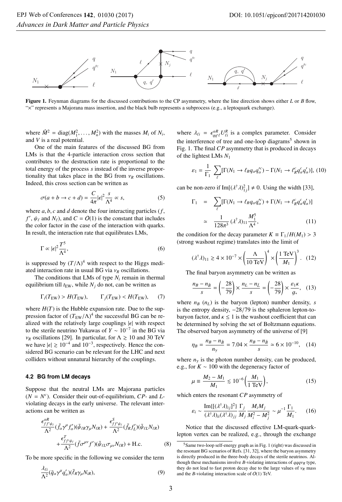

Figure 1. Feynman diagrams for the discussed contributions to the CP asymmetry, where the line direction shows either *<sup>L</sup>* or *<sup>B</sup>* flow, "×" represents a Majorana mass insertion, and the black bulb represents a subprocess (e.g., a leptoquark exchange).

 $\Gamma_1$ 

where  $\hat{M}^2 = \text{diag}(M_1^2, \dots, M_n^2)$  with the masses  $M_i$  of  $N_i$ , and  $V$  is a real potential and *V* is a real potential.

One of the main features of the discussed BG from LMs is that the 4-particle interaction cross section that contributes to the destruction rate is proportional to the total energy of the process *s* instead of the inverse proportionality that takes place in the BG from  $v_R$  oscillations. Indeed, this cross section can be written as

$$
\sigma(a+b \to c+d) = \frac{C}{4\pi} |\epsilon|^2 \frac{s}{\Lambda^4} \propto s,
$$
\n(5)

where *a*, *b*, *c* and *d* denote the four interacting particles (*f*,  $f'$ ,  $h(e)$  and  $N(e)$  and  $C = O(1)$  is the constant that includes  $f'$ ,  $\psi_{\ell}$  and  $N_{\ell}$ ), and  $C = O(1)$  is the constant that includes<br>the color factor in the case of the interaction with quarks the color factor in the case of the interaction with quarks. In result, the interaction rate that equilibrates LMs,

$$
\Gamma \propto |\epsilon|^2 \frac{T^5}{\Lambda^4},\tag{6}
$$

is suppressed by  $(T/\Lambda)^4$  with respect to the Higgs medi-<br>ated interaction rate in usual BG via  $v_0$  oscillations ated interaction rate in usual BG via  $v_R$  oscillations.

The conditions that LMs of type  $N_i$  remain in thermal equilibrium till  $t_{EW}$ , while  $N_j$  do not, can be written as

$$
\Gamma_i(T_{\rm EW}) > H(T_{\rm EW}), \qquad \Gamma_j(T_{\rm EW}) < H(T_{\rm EW}), \qquad (7)
$$

where  $H(T)$  is the Hubble expansion rate. Due to the suppression factor of  $(T_{EW}/\Lambda)^4$  the successful BG can be re-<br>alized with the relatively large couplings  $|\epsilon|$  with respect alized with the relatively large couplings  $|\epsilon|$  with respect to the sterile neutrino Yukawas of *Y* ∼ 10<sup>−</sup><sup>7</sup> in the BG via  $v_R$  oscillations [29]. In particular, for  $\Lambda \ge 10$  and 30 TeV we have  $|\epsilon| \gtrsim 10^{-4}$  and  $10^{-3}$ , respectively. Hence the considered BG scenario can be relevant for the LHC and next colliders without unnatural hierarchy of the couplings.

#### **4.2 BG from LM decays**

Suppose that the neutral LMs are Majorana particles  $(N = N<sup>c</sup>)$ . Consider their out-of-equilibrium,  $CP$ - and *L*violating decays in the early universe. The relevant interactions can be written as

$$
\frac{\epsilon_{ff'\psi_{\ell}}^{\alpha R}}{\Lambda^2} (\bar{f}_{\alpha}\gamma^{\mu} f'_{\alpha})(\bar{\psi}_{\ell R}\gamma_{\mu}N_{\ell R}) + \frac{\epsilon_{ff'\psi_{\ell}}^S}{\Lambda^2} (\bar{f}_{R}f'_{L})(\bar{\psi}_{\ell L}N_{\ell R}) \n+ \frac{\epsilon_{ff'\psi_{\ell}}^T}{\Lambda^2} (\bar{f}\sigma^{\mu\nu} f')(\bar{\psi}_{\ell L}\sigma_{\mu\nu}N_{\ell R}) + \text{H.c.}
$$
\n(8)

To be more specific in the following we consider the term

$$
\frac{\lambda_{\ell i}}{\Lambda^2} (\bar{q}_{\alpha} \gamma^{\mu} q_{\alpha}^{\prime})(\bar{\ell}_R \gamma_{\mu} N_{iR}), \tag{9}
$$

where  $\lambda_{\ell i} = \epsilon_{qq\ell}^{aR} U_{\ell i}^{R}$  is a complex parameter. Consider the interference of tree and are local discussion of about in the interference of tree and one-loop diagrams<sup>5</sup> shown in Fig. 1. The final *CP* asymmetry that is produced in decays of the lightest LMs *N*<sup>1</sup>

$$
\varepsilon_1 = \frac{1}{\Gamma_1} \sum_{\ell} [\Gamma(N_1 \to \ell_R q_a q_a^{\prime c}) - \Gamma(N_1 \to \ell_R^c q_a^c q_a^{\prime})], (10)
$$

can be non-zero if  $Im[(\lambda^{\dagger} \lambda)^2]_j$   $\neq 0$ . Using the width [33],

$$
= \sum_{\ell} [\Gamma(N_1 \to \ell_R q_\alpha q_\alpha^{\prime c}) + \Gamma(N_1 \to \ell_R^c q_\alpha^c q_\alpha^{\prime})]
$$

$$
\approx \frac{1}{128\pi^3} (\lambda^{\dagger} \lambda)_{11} \frac{M_1^5}{\Lambda^4}, \tag{11}
$$

the condition for the decay parameter  $K = \Gamma_1/H(M_1) > 3$ <br>(strong washout regime) translates into the limit of (strong washout regime) translates into the limit of

$$
(\lambda^{\dagger}\lambda)_{11} \gtrsim 4 \times 10^{-7} \times \left(\frac{\Lambda}{10 \text{ TeV}}\right)^4 \times \left(\frac{1 \text{ TeV}}{M_1}\right)^3. \tag{12}
$$

The final baryon asymmetry can be written as

$$
\frac{n_B - n_{\bar{B}}}{s} = \left(-\frac{28}{79}\right) \times \frac{n_L - n_{\bar{L}}}{s} = \left(-\frac{28}{79}\right) \times \frac{\varepsilon_1 \kappa}{g_*}, \quad (13)
$$

where  $n_B(n_L)$  is the baryon (lepton) number density, *s* is the entropy density, <sup>−</sup>28/79 is the sphaleron lepton-tobaryon factor, and  $\kappa \leq 1$  is the washout coefficient that can be determined by solving the set of Boltzmann equations. The observed baryon asymmetry of the universe of [9]

$$
\eta_B = \frac{n_B - n_{\bar{B}}}{n_{\gamma}} = 7.04 \times \frac{n_B - n_{\bar{B}}}{s} \simeq 6 \times 10^{-10}, \quad (14)
$$

where  $n<sub>y</sub>$  is the photon number density, can be produced, e.g., for *K* ∼ 100 with the degeneracy factor of

$$
\mu \equiv \frac{M_2 - M_1}{M_1} \le 10^{-6} \left( \frac{M_1}{1 \text{ TeV}} \right),\tag{15}
$$

which enters the resonant *CP* asymmetry of

$$
\varepsilon_i \sim \frac{\text{Im}\{[(\lambda^\dagger \lambda)_{ij}]^2\}}{(\lambda^\dagger \lambda)_{ii} (\lambda^\dagger \lambda)_{jj}} \frac{\Gamma_j}{M_j} \frac{M_i M_j}{M_i^2 - M_j^2} \sim \mu^{-1} \frac{\Gamma_1}{M_1}.\tag{16}
$$

Notice that the discussed effective LM-quark-quarklepton vertex can be realized, e.g., through the exchange

 $5$ Same two-loop self-energy graph as in Fig. 1 (right) was discussed in the resonant BG scenarios of Refs. [31, 32], where the baryon asymmetry is directly produced in the three-body decays of the sterile neutrinos. Although these mechanisms involve *<sup>B</sup>*-violating interactions of *qqq*ν*<sup>R</sup>* type, they do not lead to fast proton decay due to the large values of  $v_R$  mass and the *B*-violating interaction scale of  $O(1)$  TeV.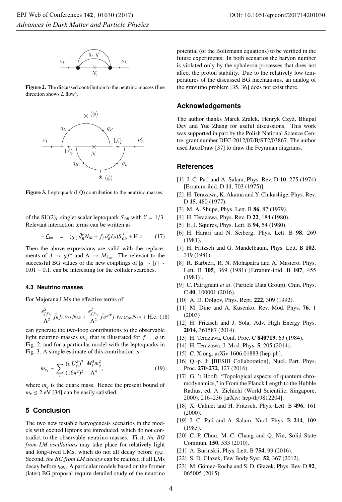

Figure 2. The discussed contribution to the neutrino masses (line direction shows *L* flow).



Figure 3. Leptoquark (LQ) contribution to the neutrino masses.

of the  $SU(2)_L$  singlet scalar leptoquark  $S_{0R}$  with  $Y = 1/3$ . Relevant interaction terms can be written as

$$
-\mathcal{L}_{int} = (g_{ij}\,\bar{d}_R^c N_{iR} + f_j\,\bar{u}_R^c \ell_R)S_{0R}^j + \text{H.c.}
$$
 (17)

Then the above expressions are valid with the replacements of  $\lambda \to gf^*$  and  $\Lambda \to M_{S_{0R}}$ . The relevant to the successful BG values of the new couplings of  $|g| \sim |f|$  ∼ <sup>0</sup>.<sup>01</sup> <sup>−</sup> <sup>0</sup>.1, can be interesting for the collider searches.

#### **4.3 Neutrino masses**

For Majorana LMs the effective terms of

$$
\frac{\epsilon_{ff\nu_{\ell}}^S}{\Lambda^2} \bar{f}_R f_L \bar{\nu}_{\ell L} N_{\ell R} + \frac{\epsilon_{ff\nu_{\ell}}^T}{\Lambda^2} \bar{f} \sigma^{\mu\nu} f \bar{\nu}_{\ell L} \sigma_{\mu\nu} N_{\ell R} + \text{H.c. (18)}
$$

can generate the two-loop contributions to the observable light neutrino masses  $m_{\nu_{\ell}}$  that is illustrated for  $f = q$  in Fig. 2, and for a particular model with the leptoquarks in Fig. 3. A simple estimate of this contribution is

$$
m_{\nu_{\ell}} \sim \sum_{i} \frac{(\epsilon \, U_{\ell i}^R)^2}{(16\pi^2)^2} \, \frac{M_i^3 m_q^2}{\Lambda^4},\tag{19}
$$

where  $m_q$  is the quark mass. Hence the present bound of  $m_v \leq 2$  eV [34] can be easily satisfied.

# **5 Conclusion**

The two new testable baryogenesis scenarios in the models with excited leptons are introduced, which do not contradict to the observable neutrino masses. First, *the BG from LM oscillations* may take place for relatively light and long-lived LMs, which do not all decay before  $t_{EW}$ . Second, *the BG from LM decays* can be realized if all LMs decay before  $t_{EW}$ . A particular models based on the former (later) BG proposal require detailed study of the neutrino potential (of the Boltzmann equations) to be verified in the future experiments. In both scenarios the baryon number is violated only by the sphaleron processes that does not affect the proton stability. Due to the relatively low temperatures of the discussed BG mechanisms, an analog of the gravitino problem [35, 36] does not exist there.

## **Acknowledgements**

The author thanks Marek Zrałek, Henryk Czyż, Bhupal Dev and Yue Zhang for useful discussions. This work was supported in part by the Polish National Science Centre, grant number DEC-2012/07/B/ST2/03867. The author used JaxoDraw [37] to draw the Feynman diagrams.

## **References**

- [1] J. C. Pati and A. Salam, Phys. Rev. D 10, 275 (1974) [Erratum-ibid. D 11, 703 (1975)].
- [2] H. Terazawa, K. Akama and Y. Chikashige, Phys. Rev. D 15, 480 (1977).
- [3] M. A. Shupe, Phys. Lett. B 86, 87 (1979).
- [4] H. Terazawa, Phys. Rev. D 22, 184 (1980).
- [5] E. J. Squires, Phys. Lett. B 94, 54 (1980).
- [6] H. Harari and N. Seiberg, Phys. Lett. B 98, 269 (1981).
- [7] H. Fritzsch and G. Mandelbaum, Phys. Lett. B 102, 319 (1981).
- [8] R. Barbieri, R. N. Mohapatra and A. Masiero, Phys. Lett. B 105, 369 (1981) [Erratum-ibid. B 107, 455 (1981)].
- [9] C. Patrignani *et al*. (Particle Data Group), Chin. Phys. <sup>C</sup> 40, 100001 (2016).
- [10] A. D. Dolgov, Phys. Rept. 222, 309 (1992).
- [11] M. Dine and A. Kusenko, Rev. Mod. Phys. 76, 1 (2003)
- [12] H. Fritzsch and J. Sola, Adv. High Energy Phys. 2014, 361587 (2014).
- [13] H. Terazawa, Conf. Proc. C **840719**, 63 (1984).
- [14] H. Terazawa, J. Mod. Phys. 5, 205 (2014).
- [15] C. Xiong, arXiv:1606.01883 [hep-ph].
- [16] O.-p. Ji [BESIII Collaboration], Nucl. Part. Phys. Proc. 270-272, 127 (2016).
- [17] G. 't Hooft, "Topological aspects of quantum chromodynamics," in From the Planck Length to the Hubble Radius, ed. A. Zichichi (World Scientific, Singapore, 2000), 216–236 [arXiv: hep-th/9812204].
- [18] X. Calmet and H. Fritzsch, Phys. Lett. B 496, 161 (2000).
- [19] J. C. Pati and A. Salam, Nucl. Phys. B 214, 109 (1983).
- [20] C.-P. Chuu, M.-C. Chang and Q. Niu, Solid State Commun. 150, 533 (2010).
- [21] A. Burinskii, Phys. Lett. B 754, 99 (2016).
- [22] S. D. Glazek, Few Body Syst. **52**, 367 (2012).
- [23] M. Gómez-Rocha and S. D. Głazek, Phys. Rev. D 92, 065005 (2015).